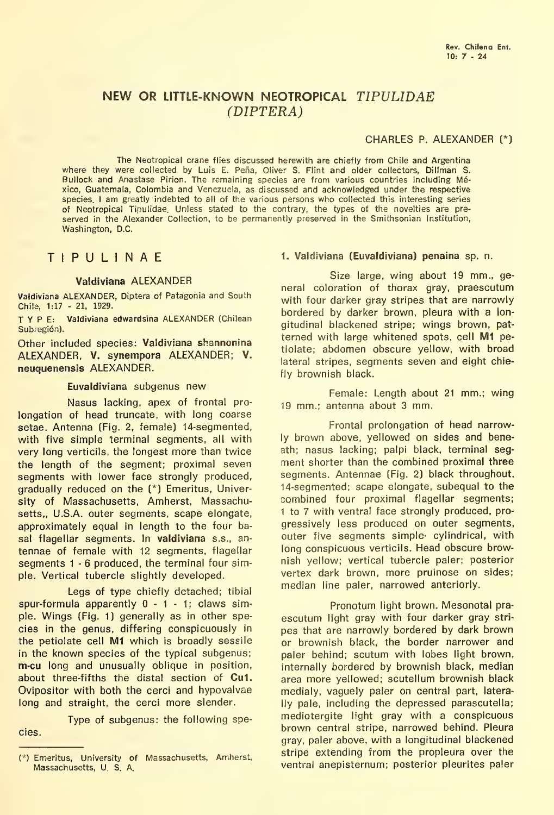# NEW OR LITTLE-KNOWN NEOTROPICAL TIPULIDAE (DÍPTERA)

### CHARLES P. ALEXANDER (\*)

The Neotropical crane fües discussed herewith are chiefly from Chile and Argentina where they were collected by Luis E. Peña, Oliver S. Flint and older collectors, Dülman S. Bullock and Anastase Pirion. The remaining species are from various countries inciuding Mé-xico, Guatemala, Colombia and Venezuela, as discussed and acknowledged under the respective species. <sup>I</sup> am greatly indebted to all of the various persons who collected this interesting series of Neotropical Tipulidae. Unless stated to the contrary, the types of the novelties are pre served in the Alexander Collection, to be permanently preserved in the Smilhsonian Institution, Washington, D.C.

# T <sup>I</sup> P U L <sup>I</sup> N A E

## Valdiviana ALEXANDER

Valdiviana ALEXANDER, Diptera of Patagonia and South Chüe, 1:17 - 21, 1929.

T Y P E: Valdiviana edwardsina ALEXANDER (Chilean Subregión).

Other included species: Valdiviana shannonina ALEXANDER, V. synempora ALEXANDER; V. neuquenensis ALEXANDER.

## Euvaidiviana subgenus new

Nasus lacking, apex of frontal pro longation of head truncate, with long coarse setae. Antenna (Fig. 2, female) 14-segmented, with five simple terminal segments, all with very long verticiis, the longest more than twice the length of the segment; proximal seven segments with lower face strongly produced, gradually reduced on the (\*) Emeritus, University of Massachusetts, Amherst, Massachusetts., U.S.A. outer segments, scape elongate, approximately equal in length to the four basal flagellar segments. In valdiviana s.s., antennae of female with 12 segments, flagellar segments <sup>1</sup> -6 produced, the terminal four simple. Vertical tubercle slightly developed.

Legs of type chiefly detached; tibial spur-formula apparently 0 - 1 - 1; claws simple. Wings (Fig. 1) generally as in other species in the genus, differing conspicuously in the petiolate cell M1 which is broadly sessile in the known species of the typical subgenus; m-cu long and unusually obligue in position, about three-fifths the distal section of Cul. Ovipositor with both the cerci and hypovalvae long and straight, the cerci more slender.

Type of subgenus: the following species.

## 1. Valdiviana (Euvaidiviana) penaina sp. n.

Size large, wing about 19 mm., general coloration of thorax gray, praescutum with four darker gray stripes that are narrowly bordered by darker brown, pleura with a lon gitudinal blackened stripe; wings brown, pat terned with large whitened spots, cell MI petiolate; abdomen obscure yellow, with broad lateral stripes, segments seven and eight chiefly brownish black.

Female: Length about 21 mm.; wing 19 mm.; antenna about <sup>3</sup> mm.

Frontal prolongation of head narrowly brown above, yellowed on sides and beneath; nasus lacking; palpi black, terminal seg ment shorter than the combined proximal three segments. Antennae (Fig. 2) black throughout, 14-segmented; scape elongate, subequal to the combined four proximal flagellar segments; <sup>1</sup> to 7 with ventral face strongly produced, pro gressively less produced on outer segments, outer five segments simple' cylindrical, with long conspicuous verticils. Head obscure brownish yellow; vertical tubercle paler; posterior vertex dark brown, more pruinose on sides; median line paler, narrowed anterioriy.

Pronotum light brown. Mesonotal praescutum light gray with four darker gray stri pes that are narrowly bordered by dark brown or brownish black, the border narrower and paler behind; scutum with lobes light brown, internally bordered by brownish black, median área more yellowed; scutellum brownish black medialy, vaguely paler on central part, laterally palé, inciuding the depressed parascutella; mediotergite light gray with a conspicuous brown central stripe, narrowed behind. Pleura gray, paler above, with a longitudinal blackened stripe extending from the propleura over the ventral anepisternum; posterior pleurites paler

<sup>(\*)</sup> Emeritus, University of Miassaohusetts, Amherst, Massachusetts, U. S. A.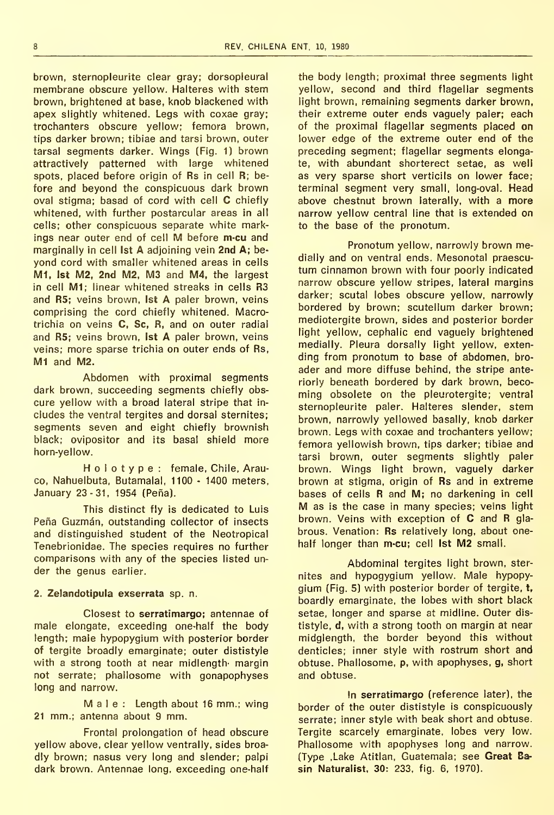brown, sternopleurite clear gray; dorsopleural membrane obscure yellow. Halteres with stem brown, brightened at base, knob blackened with apex slightly whitened. Legs with coxae gray; trochanters obscure yellow; femora brown, tips darker brown; tibiae and tarsi brown, outer tarsal segments darker. Wings (Fig. 1) brown attractively patterned with large whitened spots, placed before origin of Rs in cell R; be fore and beyond the conspicuous dark brown oval stigma; basad of cord with cell C chiefly whitened, with further postarcular areas in all cells; other conspicuous separate white markings near outer end of cell M before m-cu and marginally in cell Ist A adioining vein 2nd A; beyond cord with smaller whitened areas in cells MI, Ist M2, 2nd M2, M3 and M4, the largest in cell M1; linear whitened streaks in cells R3 and R5; veins brown, Ist A paler brown, veins comprising the cord chiefly whitened. Macrotrichia on veins C, Se, R, and on outer radial and R5; veins brown, Ist A paler brown, veins veins; more sparse trichia on outer ends of Rs, MI and M2.

Abdomen with proximal segments dark brown, succeeding segments chiefly obs cure yellow with a broad lateral stripe that in cludes the ventral tergites and dorsal sternites; segments seven and eight chiefly brownish black; ovipositor and its basal shield more horn-yellow.

H o <sup>I</sup> o <sup>t</sup><sup>y</sup> <sup>p</sup> <sup>e</sup> : female, Chile, Arau-00, Nahuelbuta, Butamalai, 1100 - 1400 meters, January 23-31, 1954 (Peña).

This distinct fiy is dedicated to Luis Peña Guzmán, outstanding collector of insects and distinguished student of the Neotropicai Tenebrionldae. The species requires no further comparisons with any of the species listed un der the genus earlier.

## 2. Zelandotipula exserrata sp. n.

Closest to serratimargo; antennae of male elongate, exceeding one-half the body length; male hypopygium with posterior border of tergite broadiy emarginate; outer dististyle with a strong tooth at near midlength margin not serrate; phallosome with gonapophyses long and narrow.

Male: Length about 16 mm.; wing <sup>21</sup> mm.; antenna about 9 mm.

Frontal prolongation of head obscure yellow above, clear yellow ventrally, sides broadiy brown; nasus very long and slender; paipi dark brown. Antennae long, exceeding one-half

the body length; proximal three segments light yellow, second and third flagellar segments light brown, remaining segments darker brown, their extreme outer ends vaguely paler; each of the proximal flagellar segments placed on lower edge of the extreme outer end of the preceding segment; flagellar segments elongate, with abundant shorterect setae, as well as very sparse short verticils on lower face; terminal segment very small, long-oval. Head above chestnut brown laterally, with a more narrow yellow central line that is extended on to the base of the pronotum.

Pronotum yellow, narrowly brown medially and on ventral ends. Mesonotal praescu tum cinnamon brown with four poorly indicated narrow obscure yellow stripes, lateral margina darker; scutal lobes obscure yellow, narrowly bordered by brown; scutellum darker brown; mediotergite brown, sides and posterior border light yellow, cephalic end vaguely brightened medially. Pleura dorsally light yellow, exten ding from pronotum to base of abdomen, bro ader and more diffuse behind, the stripe anteriorly beneath bordered by dark brown, beco ming obsolete on the pleurotergite; ventral sternopleurite paler. Halteres slender, stem brown, narrowly yellowed basally, knob darker brown. Legs with coxae and trochanters yellow; femora yellowish brown, tips darker; tibiae and tarsi brown, outer segments slightly paler brown. Wings light brown, vaguely darker brown at stigma, origin of Rs and in extreme bases of cells R and M; no darkening in cell<br>M as is the case in many species; veins light brown. Veins with exception of C and R gla brous. Venation: Rs relatively long, about onehalf longer than m-cu; cell Ist M2 small.

Abdominal tergites light brown, ster nites and hypogygium yellow. Male hypopy gium (Fig. 5) with posterior border of tergite, t, boardly emarginate, the lobes with short black setae, longer and sparse at midline. Outer dististyle, d, with a strong tooth on margin at near midglength, the border beyond this without denticles; inner style with rostrum short and obtuse. Phallosome, p, with apophyses, g, short and obtuse.

In serratimargo (reference later), the border of the outer dististyle is conspicuously serrate; inner style with beak short and obtuse. Tergite scarcely emarginate, lobes very low. Phallosome with apophyses long and narrow. (Type ,Lake Atitlan, Guatemala; see Great Basin Naturalist, 30: 233, fig. 6, 1970).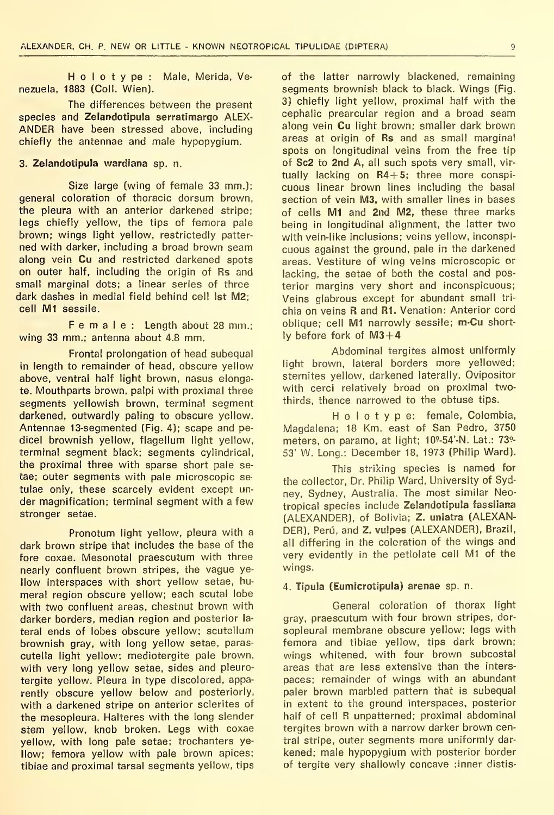H O <sup>I</sup> <sup>O</sup> <sup>t</sup> y pe : Male, Merida, Venezuela, 1883 (Coll. Wien).

The differences between the present species and Zelandotipula serratimargo ALEX- ANDER have been stressed above, including chiefly the antennae and male hypopygium.

## 3. Zelandotipula wardiana sp. n.

Size large (wing of female 33 mm.); general coloration of thoracic dorsum brown, the pleura with an anterior darkened stripe; legs chiefly yellow, the tips of femora pale brown; wings light yellow, restrictedly patter ned with darker, including a broad brown seam along vein Cu and restricted darkened spots on outer half, including the origin of Rs and small marginal dots; a linear series of three dark dashes in medial field behind cell Ist M2; cell MI sessile.

Female: Length about <sup>28</sup> mm.; wing 33 mm.; antenna about 4.8 mm.

Frontal prolongation of head subequal in length to remainder of head, obscure yellow above, ventral half light brown, nasus elongate. Mouthparts brown, paipi with proximal three segments yellowish brown, terminal segment darkened, outwardly paling to obscure yellow. Antennae 13-segmented (Fig. 4]; scape and pedicel brownish yellow, flagellum light yellow, terminal segment black; segments cylindrical, the proximal three with sparse short palé setae; outer segments with palé microscopic se tulae only, these scarcely evident except un der magnification; terminal segment with a few stronger setae.

Pronotum light yellow, pleura with a dark brown stripe that includes the base of the fore coxae. Mesonotal praescutum with three nearly confluent brown stripes, the vague ye llow interspaces with short yellow setae, hu meral región obscure yellow; each scutal lobe with two confluent areas, chestnut brown with darker borders, median region and posterior lateral ends of lobes obscure yellow; scutellum brownish gray, with long yellow setae, parascutella light yellow: mediotergite pale brown, with very long yellow setae, sides and pleurotergite yellow. Pleura in type discolored, apparently obscure yellow below and posteriorly, with a darkened stripe on anterior sclerites of the mesopleura. Halteres with the long slender stem yellow, knob broken. Legs with coxae yellow, with long palé setae; trochanters yellow; femora yellow with pale brown apices; tibiae and proximal tarsal segments yellow, tips of the latter narrowly blackened, remaining segments brownish black to black. Wings (Fig. 3) chiefly light yellow, proximal half with the cephalic prearcular region and a broad seam along vein Cu light brown; smaller dark brown areas at origin of Rs and as small marginal spots on longitudinal veins from the free tip of Sc2 to 2nd A, all such spots very small, vir tually lacking on  $R4+5$ ; three more conspicuous linear brown lines including the basal section of vein M3, with smaller lines in bases of cells MI and 2nd M2, these three marks being in longitudinal alignment, the latter two with vein-like inclusions; veins yellow, inconspicuous against the ground, pale in the darkened áreas. Vestiture of wing veins microscopic or lacking, the setae of both the costal and posterior margina very short and inconspicuous; Veins glabrous except for abundant small tri chia on veins R and R1. Venation: Anterior cord oblique; cell M1 narrowly sessile; m-Cu shortly before fork of  $M3+4$ 

Abdominal tergites almost uniformly light brown, lateral borders more yellowed: sternites yellow, darkened laterally. Ovipositor with cerci relatively broad on proximal twothirds, thence narrowed to the obtuse tips.

H o <sup>I</sup> o <sup>t</sup> y p e: female, Colombia, Magdalena; 18 Km. east of San Pedro, 3750 meters, on paramo, at light; 10°-54'-N. Lat.: 73°-53' W. Long.: December 18, 1973 (Philip Ward).

This striking species is named for the collector, Dr. Philip Ward, University of Sydney, Sydney, Australia. The most similar Neotropical species include Zelandotipula fassiiana (ALEXANDER), of Solivia; Z. uniatra (ALEXAN-DER), Perú, and Z. vulpes (ALEXANDER), Brazil, all differing in the coloration of the wings and very evidently in the petiolate cell MI of the wings.

### 4. Tipula (Eumicrotipula) arenae sp. n.

General coloration of thorax light gray, praescutum with four brown stripes, dor sopleural membrane obscure yellow; legs with femora and tibiae yellow, tips dark brown; wings whitened, with four brown subcostal areas that are less extensive than the interspaces; remainder of wings with an abundant paler brown marbied pattern that is subequal in extent to the ground interspaces, posterior half of cell R unpatterned; proximal abdominal tergites brown with a narrow darker brown central stripe, outer segments more uniformly dar kened; male hypopygium with posterior border of tergite very shallowly concave :inner distis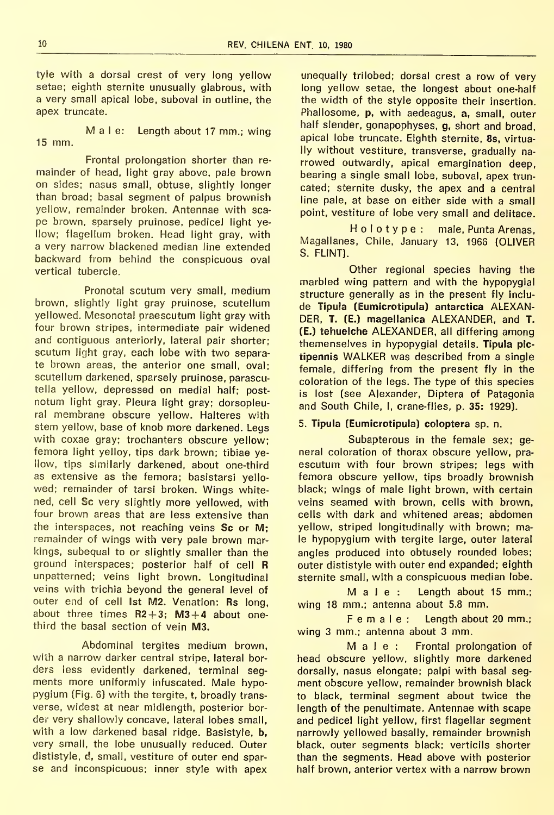tyle with a dorsal crest of very long yellow setae; eighth sternite unusually glabrous, with a very small apical lobe, suboval in outline, the apex truncate.

Male: Length about 17 mm.; wing 15 mm.

Frontal prolongation shorter than remainder of head, light gray above, pale brown on sides; nasus small, obtuse, slightly longer than bread; basal segment of palpus brownish yellow, remainder broken. Antennae with scape brown, sparsely pruinose, pedicel light yellow; flagellum broken. Head light gray, with a very narrow blackened median line extended backward from behind the conspicuous oval vertical tubercle.

Pronotal scutum very small, medium brown, slightly light gray pruinose, scutellum yellowed. Mesonotal praescutum light gray with four brown stripes, intermedíate pair widened and contiguous anteriorly, lateral pair shorter; scutum light gray, each lobe with two separate brown areas, the anterior one small, oval; scutellum darkened, sparsely pruinose, parascutella yellow, depressed on medial half; post notum light gray. Pleura light gray; dorsopleural membrane obscure yellow. Halteres with stem yellow, base of knob more darkened. Legs with coxae gray; trochanters obscure yellow: femora light yelloy, tips dark brown; tibiae yellow, tips similarly darkened, about one-third as extensive as the femora; basistarsi yellowed; remainder of tarsi broken. Wings whitened, cell Se very slightly more yellowed, with four brown areas that are less extensive than the interspaces, not reaching veins Sc or M: remainder of wings with very pale brown markings, subequal to or slightly smaller than the ground interspaces; posterior half of cell R unpatterned; veins light brown. Longitudinal veins with trichia beyond the general level of outer end of cell Ist M2. Venation: Rs long, about three times  $R2+3$ ; M3+4 about onethird the basal section of vein M3.

Abdominal tergites medium brown, with a narrow darker central stripe, lateral bor ders less evidently darkened, terminal seg ments more uniformly infuscated. Male hypo pygium (Fig. 6) with the tergite, t, broadly trans verse, widest at near midlength, posterior border very shallowly concave, lateral lobes small, with a low darkened basal ridge. Basistyle, b, very small, the lobe unusually reduced. Outer dististyle, d, small, vestiture of outer end spar se and inconspicuous; inner style with apex

unequally trilobed; dorsal crest a row of very long yellow setae, the longest about one-half the width of the style opposite their insertion. Phallosome, p, with aedeagus, a, small, outer half slender, gonapophyses, g, short and broad, apical lobe truncate. Eighth sternite, 8s, virtually without vestiture, transverse, gradually narrowed outwardly, apical emargination deep, bearing a single small lobe, suboval, apex truncated; sternite dusky, the apex and a central line pale, at base on either side with a small point, vestiture of lobe very small and delitace.

H <sup>o</sup> <sup>I</sup> o <sup>t</sup><sup>y</sup> <sup>p</sup> <sup>e</sup> : male. Punta Arenas, Magallanes, Chile, January 13, 1966 (OLIVER S. FLINT).

Other regional species having the marbied wing pattern and with the hypopygial structure generally as in the present fly include Tipula (Eumicrotipula) antárctica ALEXAN-DER, T. (E.) magellaniea ALEXANDER, and T. (E.) tehuelehe ALEXANDER, all differing among themenselves in hypopygial details. Tipula pictipennis WALKER was described from <sup>a</sup> single female, differing from the present fIy in the coloration of the legs. The type of this species is lost (see Alexander, Diptera of Patagonia and South Chile, I, crane-flies, p. 35: 1929).

## 5. Tipuia (Eumicrotipula) coloptera sp. n.

Subapterous in the female sex; general coloration of thorax obscure yellow, praescutum with four brown stripes: legs with femora obscure yellow, tips broadly brownish black; wings of male light brown, with certain veins seamed with brown, cells with brown, cells with dark and whitened areas; abdomen yellow, striped longitudinally with brown; male hypopygium with tergite large, outer lateral angles produced into obtusely rounded lobes; outer dististyle with outer end expanded; eighth sternite small, with a conspicuous median lobe.<br>Male: Length about 15 mm.;

wing 18 mm.; antenna about 5.8 mm.

Female: Length about <sup>20</sup> mm.; wing 3 mm.; antenna about 3 mm.<br>M a l e: Frontal prolongation of

head obscure yellow, slightly more darkened dorsally, nasus elongate; paipi with basal seg ment obscure yellow, remainder brownish black to black, terminal segment about twice the length of the penultimate. Antennae with scape and pedicel light yellow, first flagellar segment narrowly yellowed basally, remainder brownish black, outer segments black; verticils shorter than the segments. Head above with posterior half brown, anterior vertex with a narrow brown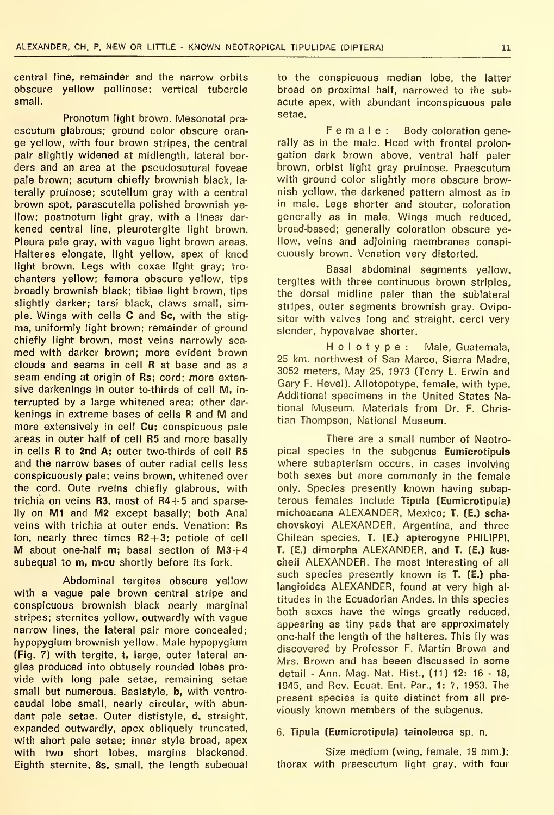central line, remainder and the narrow orbits obscure yellow pollinose; vertical tubercle small.

Pronotum light brown. Mesonotal pra escutum glabrous; ground color obscure oran ge yellow, with four brown stripes, the central pair slightly widened at midlength, lateral borders and an area at the pseudosutural foveae palé brown; scutum chiefly brownish black, la terally pruinose; scutellum gray with a central brown spot, parascutella polished brownish yellow; postnotum light gray, with a linear dar kened central line, pleurotergite light brown. Pleura pale gray, with vague light brown areas. Halteres elongate, light yellow, apex of kncd light brown. Legs with coxae light gray; tro chanters yellow; femora obscure yellow, tips broadly brownish black; tibiae light brown, tips slightly darker; tarsi black, claws small, simple. Wings with cells C and Sc, with the stigma, uniformly light brown; remainder of ground chiefly light brown, most veins narrowly sea med with darker brown; more evident brown clouds and seams in cell R at base and as a seam ending at origin of Rs; cord; more extensive darkenings in outer to-thirds of cell M, in terrupted by a large whitened area; other darkenings in extreme bases of cells <sup>R</sup> and M and more extensively in cell Cu; conspicuous pale areas in outer half of cell R5 and more basally in cells R to 2nd A; outer two-thirds of cell R5 and the narrow bases of outer radial cells less conspicuously palé; veins brown, whitened over the cord. Oute rveins chiefly glabrous, with trichia on veins  $R3$ , most of  $R4+5$  and sparselly on MI and M2 except basally; both Anal veins with trichia at outer ends. Venation: Rs Ion, nearly three times R2+3; petiole of cell M about one-half m; basal section of M3+4 subequal to m, m-cu shortly before its fork.

Abdominal tergites obscure yellow with a vague pale brown central stripe and conspicuous brownish black nearly marginal stripes; sternites yellow, outwardly with vague narrow lines, the lateral pair more concealed; hypopygium brownish yellow. Male hypopygium (Fig. 7) with tergite, t, large, outer lateral an gles produced into obtusely rounded lobes provide with long pale setae, remaining setae small but numerous. Basistyle, **b**, with ventrocaudal lobe small, nearly circular, with abun dant pale setae. Outer dististyle, d, straight, expanded outwardly, apex obliquely truncated, with short pale setae; inner style broad, apex with two short lobes, margins blackened. Eighth sternite, 8s, small, the length subeaual

to the conspicuous median lobe, the latter broad on proximal half, narrowed to the sub acute apex, with abundant inconspicuous palé setae.

<sup>F</sup> <sup>e</sup> m <sup>a</sup> <sup>I</sup> <sup>e</sup> : Body coloration generally as in the male. Head with frontal prolon gation dark brown above, ventral half paler brown, orbist light gray pruinose. Praescutum with ground color slightly more obscure brownish yellow, the darkened pattern almost as in in male. Legs shorter and stouter, coloration generally as in male. Wings much reduced, broad-based; generally coloration obscure yellow, veins and adjoining membranes conspi cuously brown. Venation very distorted.

Basal abdominal segments yellow, tergites with three continuous brown striples, the dorsal midline paler than the sublateral stripes, outer segments brownish gray. Ovipositor with valves long and straight, cerci very slender, hypovalvae shorter.

H o <sup>I</sup> o <sup>t</sup> y p e : Male, Guatemala, 25 km. northwest of San Marco, Sierra Madre, 3052 meters, May 25, 1973 [Terry L. Erwin and Gary F. Hevel). Allotopotype, female, with type. Additional specimens in the United States National Museum. Materials from Dr. F. Christian Thompson, National Museum.

There are a small number of Neotropical species in the subgenus Eumicrotipula where subapterism occurs, in cases involving both sexes but more commonly in the female only. Species presently known having subapterous females include Tipula (Eumicrotipula) michoacana ALEXANDER, Mexico: T. (E.) schachovskoyi ALEXANDER, Argentina, and three Chilean species, T. (E.) apterogyne PHILIPPI, T. (E.) dimorpha ALEXANDER, and T. (E.) kuscheli ALEXANDER. The most interesting of all such species presently known is **T. (E.)** phalangíoides ALEXANDER, found at very high al titudes in the Ecuadorian Andes. In this species both sexes have the wings greatly reduced, appearing as tiny pads that are approximately one-half the length of the halteres. This fly was discovered by Professor F. Martin Brown and Mrs. Brown and has beeen discussed in some detall - Ann. Mag. Nat. Hist., (11) 12: 16 - 18, 1945, and Rev. Ecuat. Ent. Par., 1: 7, 1953. The present species is quite distinct from all previously known members of the subgenus.

# 6. Tipula (Eumicrotipula) tainoieuca sp. n.

Size medium (wing, female, 19 mm.); thorax with praescutum light gray, with four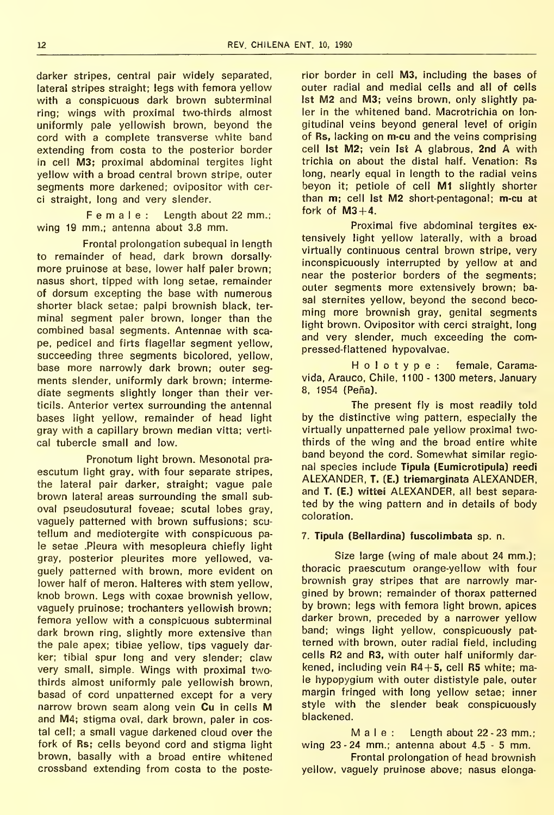darker stripes, central pair widely separated, lateral stripes straight; legs with femora yellow with a conspicuous dark brown subterminal ring; wings with proximal two-thirds almost uniformly pale yellowish brown, beyond the cord with a complete transverse white band extending from costa to the posterior border in celi M3; proximal abdominal tergites light yellow with a broad central brown stripe, outer segments more darkened; ovipositor with cerci straight, long and very slender.

F e m a l e : Length about 22 mm.; wing 19 mm.; antenna about 3.8 mm.

Frontal prolongation subequal in length to remainder of head, dark brown dorsallymore pruinose at base, lower half paler brown; nasus short, tipped with long setae, remainder of dorsum excepting the base with numerous shorter black setae; paipi brownish black, ter minal segment paler brown, longer than the combined basal segments. Antennae with scape, pedlcel and firts flagellar segment yellow, succeeding three segments bicolored, yellow, base more narrowly dark brown; outer seg ments slender, uniformly dark brown; intermedíate segments slightly longer than their verticils. Anterior vertex surrounding the antennal bases light yellow, remainder of head light gray with a capillary brown median vitta; verti cal tubercle small and iow.

Pronotum light brown. Mesonotai pra escutum light gray, with four separate stripes, the lateral pair darker, straight; vague palé brown lateral areas surrounding the small suboval pseudosutural foveae; scutal lobes gray, vaguely patterned with brown suffusions; scu tellum and mediotergite with conspicuous palé setae .Pleura with mesopleura chiefly light gray, posterior pleurites more yellowed, va guely patterned with brown, more evident on lower half of meron. Halteres with stem yellow, knob brown. Legs with coxae brownish yellow, vaguely pruinose; trochanters yellowish brown; femora yellow with a conspicuous subterminal dark brown ring, slightly more extensive than the pale apex; tibiae yellow, tips vaguely darker; tibial spur long and very slender; claw very small, simple. Wings with proximal twothirds almost uniformly palé yellowish brown, basad of cord unpatterned except for a very narrow brown seam along vein Cu in cells M and M4; stigma oval, dark brown, paler in costal cell; a small vague darkened cloud over the fork of Rs; cells beyond cord and stigma light brown, basally with a broad entire whitened crossband extending from costa to the posterior border in cell M3, including the bases of outer radial and medial cells and all of cells Ist M2 and M3; veins brown, only slightly paler in the whitened band. Macrotrichia on lon gitudinal veins beyond general level of origin of Rs, lacking on m-cu and the veins comprising cell Ist M2; vein Ist A glabrous, 2nd A with trichia on about the distal half. Venation: Rs long, nearly equal in length to the radial veins beyon it; petiole of cell MI slightly shorter than m; cell Ist M2 short-pentagonal; m-cu at fork of  $M3+4$ .

Proximal five abdominal tergites ex tensively light yellow laterally, with a broad virtually continuous central brown stripe, very inconspicuously interrupted by yellow at and near the posterior borders of the segments; outer segments more extensively brown; basal sternites yellow, beyond the second beco ming more brownish gray, genital segments light brown. Ovipositor with cerci straight, long and very slender, much exceeding the compressed-flattened hypovalvae.

H o <sup>I</sup> o <sup>t</sup> y p e : female, Caramavida, Arauco, Chile, 1100 - 1300 meters, January 8. 1954 (Peña).

The present fiy is most readily told by the distinctive wing pattern, especially the virtually unpatterned pale yellow proximal twothirds of the wing and the broad entire white band beyond the cord. Somewhat similar regional species include Típula (Eumicrotipula) reedi ALEXANDER, T. (E.) triemarginata ALEXANDER, and T. (E.) witíei ALEXANDER, all best separated by the wing pattern and in details of body coloration.

## 7. Tipula (Bellardina) fuscolimbata sp. n.

Size large (wing of male about 24 mm.); thoracic praescutum orange-yellow with four brownish gray stripes that are narrowly margined by brown; remainder of thorax patterned by brown; legs with femora light brown, apices darker brown, preceded by a narrower yellow band; wings light yellow, conspicuously pat terned with brown, outer radial field, including cells R2 and R3, with outer half uniformly dar kened, including vein  $R4+5$ , cell R5 white; male hypopygium with outer dististyle pale, outer margin fringed with long yellow setae; inner style with the slender beak conspicuously blackened.

Male: Length about 22 - 23 mm.: wing 23-24 mm.; antenna about 4.5 - <sup>5</sup> mm.

Frontal prolongation of head brownish yellow, vaguely pruinose above; nasus elonga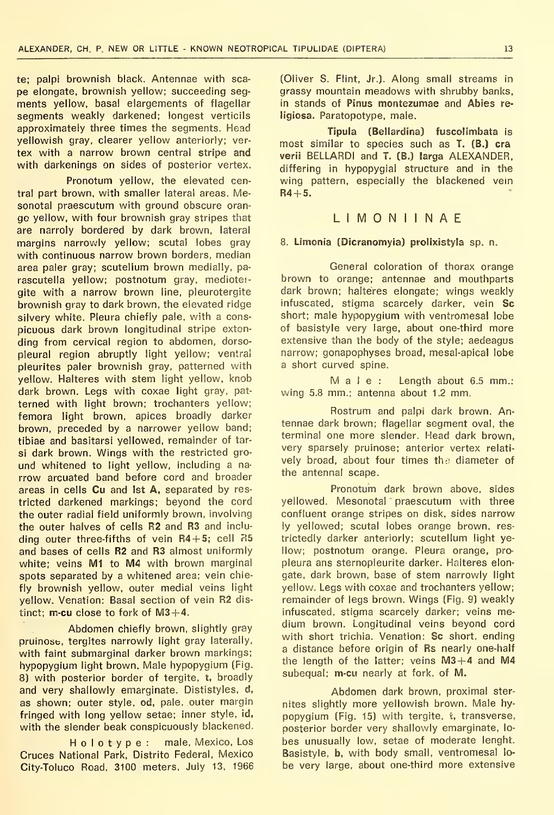te; paipi brownish black. Antennae with sea pe elongate, brownish yellow; succeeding seg ments yellow, basal elargements of flagellar segments weakly darkened; longest verticils approximately three times the segments. Head yellowish gray, clearer yellow anteriorly; vertex with a narrow brown central stripe and with darkenings on sides of posterior vertex.

Pronotum yellow, the elevated central part brown, with smaller lateral areas. Mesonotal praescutum with ground obscure orange yellow, with four brownish gray stripes that are narroly bordered by dark brown, lateral margins narrowly yellow; scutal lobes gray with continuous narrow brown borders, median área paler gray; scutellum brown medially, pa rascutella yellow; postnotum gray, medioteigite with a narrow brown line, pleurotergite brownish gray to dark brown, the elevated ridge silvery white. Pleura chiefly pale, with a conspicuous dark brown longitudinal stripe exten ding from cervical region to abdomen, dorsopleural region abruptly light yellow; ventral pleurites paler brownish gray, patterned with yellow. Halteres with stem light yellow, knob dark brown. Legs with coxae light gray, pat terned with light brown; trochanters yellow; femora light brown, apices broadly darker brown, preceded by a narrower yellow band; tibiae and basitarsi yellowed, remainder of tarsi dark brown. Wings with the restricted ground whitened to light yellow, including a na rrow arcuated band before cord and broader áreas in cells Cu and Ist A, separated by res tricted darkened markings; beyond the cord the outer radial field uniformly brown, involving the outer halves of cells R2 and R3 and inclu ding outer three-fifths of vein  $R4 + 5$ ; cell  $R5$ and bases of cells R2 and R3 almost uniformly white: veins M1 to M4 with brown marginal spots separated by a whitened area; vein chiefly brownish yellow, outer medial veins light yellow. Venation; Basal section of vein R2 distinct: m-cu close to fork of  $M3 + 4$ .

Abdomen chiefly brown, slightly gray pruinose, tergites narrowly light gray laterally, with faint submarginal darker brown markings; hypopygium light brown. Male hypopygium (Fig. 8) with posterior border of tergite, t, broadly and very shallowly emarginate. Dististyles, d, as shown; outer style, od, pale, outer margin fringed with long yellow setae; inner style, id, with the slender beak conspicuously blackened.

Holotype: male, Mexico, Los Cruces National Park, Distrito Federal, México City-Toluco Road, 3100 meters, July 13, 1966 (Olivar S. Flint, Jr.]. Along small streams in grassy mountain meadows with shrubby banks, in stands of Pinus montezumae and Abies re ligiosa. Paratopotype, male.

Tipula (Bellardina) fuscolimbata is most similar to species such as T. (B.) cra verii BELLARDI and T. (B.) larga ALEXANDER. differing in hypopygial structure and in the wing pattern, especially the blackened vein  $R4 + 5.$ 

# <sup>L</sup> <sup>I</sup> M O N <sup>I</sup> <sup>I</sup> N A <sup>E</sup>

#### 8. Limonia (Dicranomyia) prolixistyla sp. n.

General coloration of thorax orange brown to orange; antennae and mouthparts dark brown; halteres elongate; wings weakly infuscated, stigma scarcely darker, vein Sc short; male hypopygium with ventromesal lobe of basistyle very large, about one-third more extensive than the body of the style; aedeagus narrow; gonapophyses broad, mesal-apical lobe a short curved spine.

Male: Length about 6.5 mm.: wing 5.8 mm.; antenna about 1.2 mm.

Rostrum and palpi dark brown. Antennae dark brown; flagellar segment oval, the terminal one more slender. Head dark brown, very sparsely pruinose; anterior vertex relatively broad, about four times the diameter of the antennal scape.

Pronotum dark brown above, sides yellowed. Mesonotal praescutum with three confluent orange stripes on disk, sides narrow ly yellowed; scutal lobes orange brown, res trictedly darker anteriorly; scutellum light yellow; postnotum orange. Pleura orange, pro pleura ans sternopleurite darker. Halteres elongate, dark brown, base of stem narrowly light yellow. Legs with coxae and trochanters yellow; remainder of legs brown. Wings (Fig. 9) weakly infuscated, stigma scarcely darker; veins medium brown. Longitudinal veins beyond cord with short trichia. Venation: Sc short, ending a distance before origin of Rs nearly one-half the length of the latter; veins  $M3+4$  and  $M4$ subequal; m-cu nearly at fork. of M.

Abdomen dark brown, proximal ster nites slightly more yellowish brown. Male hy popygium (Fig. 15) with tergite,  $i$ , transverse, posterior border very shallowly emarginate, lo bes unusually low, setae of moderate lenght. Basistyle. b, with body small, ventromesal lo be very large, about one-third more extensive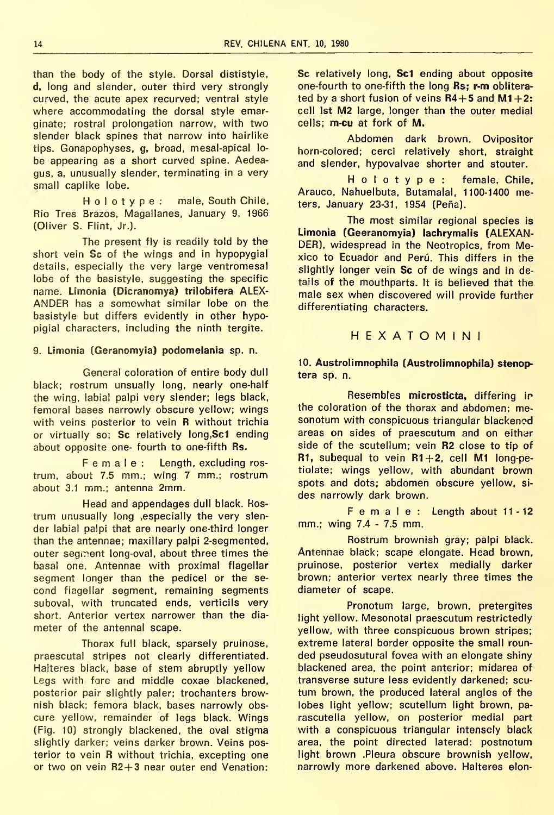than the body of the style. Dorsal dististyle, d, long and slender, outer third very strongly curved, the acute apex recurved; ventral style where accommodating the dorsal style emarginate; rostral prolongation narrow, with two slender black spines that narrow into hairlike tips. Gonapophyses, g, broad, mesal-apical lobe appearing as a short curved spine. Aedeagus, a, unusually slender, terminating in a very small caplike lobe.

H o I o t y p e : male, South Chile, Río Tres Brazos, Magallanes, January 9, 1966 (Oliver S. Flint, Jr.).

The present fly is readily told by the short vein Sc of the wings and in hypopygial details, especially the very large ventromesal lobe of the basistyle, suggesting the specific name. Limonia (Dicranomya) trilobifera ALEX-ANDER has <sup>a</sup> somewhat similar lobe on the basistyle but differs evidently in other hypopigial characters, including the ninth tergite.

# 9. Limonia (Geranomyia) podomelania sp. n.

General coloration of entire body dull black; rostrum unsually long, nearly one-half the wing, labial palpi very slender; legs black, femoral bases narrowly obscure yellow; wings with veins posterior to vein R without trichia or virtually so: Sc relatively long, Sc1 ending about opposite one- fourth to one-fifth Rs.

F e m a I e : Length, excluding rostrum, about 7.5 mm.; wing 7 mm.; rostrum about 3.1 mm.; antenna 2mm.

Head and appendages dull black. Ros trum unusually long .especially the very slen der labial paipi that are nearly one-third longer than the antennae; maxillary paipi 2-segmented, outer segment long-oval, about three times the basal one. Antennae with proximal flagellar segment longer than the pedicel or the se cond flagellar segment, remaining segments suboval, with truncated ends, verticils very short. Anterior vertex narrower than the diameter of the antennal scape.

Thorax fuil black, sparsely pruinose, praescutal stripes not clearly differentiated. Halteres black, base of stem abruptly yellow Legs with fore and middie coxae blackened, posterior pair slightly paler; trochanters brownish black; femora black, bases narrowly obs cure yellow, remainder of legs black. Wings (Fig. 10] strongly blackened, the oval stigma slightly darker; veins darker brown. Veins posterior to vein R without trichia, excepting one or two on vein R2 + <sup>3</sup> near outer end Venation: Sc relatively long, Sc1 ending about opposite one-fourth to one-fifth the long Rs; r-m oblitera ted by a short fusion of veins  $R4 + 5$  and  $M1 + 2$ : cell Ist M2 large, longer than the outer medial cells; m-eu at fork of M.

Abdomen dark brown. Ovipositor horn-colored; cerci relatively short, straight and slender, hypovalvae shorter and stouter.

H o <sup>I</sup> o <sup>t</sup> <sup>y</sup> p e : female, Chile, Arauco, Nahuelbuta. Butamalal, 1100-1400 meters, January 23-31, 1954 (Peña).

The most similar regional species is Limonia (Geeranomyia) laehrymalis (ALEXAN-DER), widespread in the Neotropics, from Mexico to Ecuador and Perú. This differs in the slightly longer vein Sc of de wings and in details of the mouthparts. It is believed that the male sex when discovered will provide further differentiating characters.

# HEXATOMINI

# 10. Austrolimnophila (Austrolimnophila) stenoptera sp. n.

Resembles mierosticta, differing ir the coloration of the thorax and abdomen; me sonotum with conspicuous triangular blackened áreas on sides of praescutum and on eithar side of the scutellum; vein R2 close to tip of R1, subequal to vein  $R1+2$ , cell M1 long-petiolate; wings yellow, with abundant brown spots and dots; abdomen obscure yellow, si des narrowly dark brown.

Female: Length about 11-12 mm.; wing 7.4 - 7.5 mm.

Rostrum brownish gray; paipi black. Antennae black; scape elongate. Head brown, pruinose, posterior vertex medially darker brown; anterior vertex nearly three times the diameter of scape.

Pronotum large, brown, pretergites light yellow. Mesonotal praescutum restrictedly yellow, with three conspicuous brown stripes; extreme lateral border opposite the small roun ded pseudosutural fovea with an elongate shiny blackened área, the point anterior; midarea of transverse suture less evidently darkened; scu tum brown, the produced lateral angles of the lobes light yellow; scutellum light brown, pa rascutella yellow, on posterior medial part with a conspicuous triangular intensely black área, the point directed laterad: postnotum light brown .Pleura obscure brownish yellow, narrowly more darkened above. Halteres elon-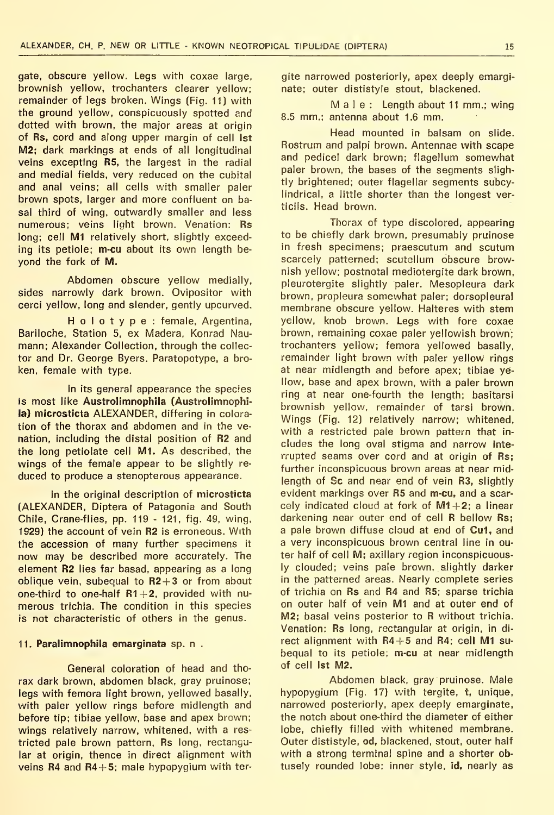gate, obscure yellow. Legs with coxae large, brownish yellow, trochanters clearer yellow; remainder of legs broken. Wings (Fig. 11) with the ground yellow, conspicuously spotted and dotted with brown, the major areas at origin of Rs, cord and aiong upper margin of cell Ist M2; dark markings at ends of all longitudinal veins excepting R5, the largest in the radial and medial fields, very reduced on the cubital and anal veins; all cells with smaller paler brown spots, larger and more confluent on basal third of wing, outwardly smaller and less numerous; veins light brown. Venation: Rs long; cell M1 relatively short, slightly exceeding its petiole; m-cu about its own length be yond the fork of M.

Abdomen obscure yellow medially, sides narrowly dark brown. Ovipositor with cerci yellow, long and slender, gently upcurved.

H o <sup>I</sup>o <sup>t</sup> y <sup>p</sup> e : female, Argentina, Bariloche, Station 5, ex Madera, Konrad Nau mann; Alexander Collection, through the collector and Dr. George Byers. Paratopotype, a bro ken, female with type.

In its general appearance the species is most like Austrolimnophila (Austrolimnophila) microsticta ALEXANDER, differing in coloration of the thorax and abdomen and in the ve nation, including the distal position of R2 and the long petiolate cell MI. As described, the wings of the female appear to be slightly reduced to produce a stenopterous appearance.

In the original description of microsticta (ALEXANDER, Díptera of Patagonia and South Chile, Crane-flies, pp. 119 - 121, fig. 49, wing, 1929) the account of vein R2 is erroneous. With the accession of many further specimens it now may be described more accurately. The element R2 lies far basad, appearing as a long oblique vein, subequal to  $R2+3$  or from about one-third to one-half  $R1+2$ , provided with numerous trichia. The condition in this species is not characteristic of others in the genus.

#### 11. Paralimnophila emarginata sp. n .

General coloration of head and tho rax dark brown, abdomen biack, gray prulnose; legs with femora light brown, yellowed basally, with paler yellow rings before midlength and before tip; tibiae yellow, base and apex brown; wings relatively narrow, whitened, with a res tricted pale brown pattern, Rs long, rectangular at origin, thence in direct alignment with veins R4 and  $R4 + 5$ ; male hypopygium with tergite narrowed posteriorly, apex deeply emarginate; outer dististyle stout, blackened.

Male: Length about <sup>11</sup> mm.; wing 8.5 mm.; antenna about 1.6 mm.

Head mounted in balsam on slide. Rostrum and paipi brown. Antennae with scapé and pedicel dark brown; flagellum somewhat paler brown, the bases of the segments slightiy brightened; outer flagellar segments subcylindrical, a little shorter than the longest verticils. Head brown.

Thorax of type discolored, appearing to be chiefly dark brown, presumably pruinose in fresh specimens; praescutum and scutum scarcely patterned; scutellum obscure brownish yellow; postnotal mediotergite dark brown, pleurotergite slightiy paler. Mesopleura dark brown, propleura somewhat paler; dorsopleural membrane obscure yellow. Halteres with stem yellow, knob brown. Legs with fore coxae brown, remaining coxae paler yellowish brown; trochanters yellow; femora yellowed basally, remainder light brown with paler yellow rings at near midlength and before apex; tibiae yellow, base and apex brown, with a paler brown ring at near one-fourth the length; basitarsi brownish yellow, remainder of tarsi brown. Wings (Fig. 12) relatively narrow; whitened, with a restricted pale brown pattern that includes the long oval stigma and narrow inte rrupted seams over cord and at origin of Rs; further inconspicuous brown areas at near midlength of Sc and near end of vein R3, slightly evident markings over R5 and m-cu, and a scar cely indicated cloud at fork of  $M1+2$ ; a linear darkening near outer end of cell R bellow Rs; a pale brown diffuse cloud at end of Cu1, and a very inconspicuous brown central line in outer half of cell M; axillary region inconspicuously clouded; veins paie brown, slightiy darker in the patterned areas. Nearly complete series of trichia on Rs and R4 and R5; sparse trichia on outar half of vein MI and at outer end of M2; basal veins posterior to R without trichia. Venation: Rs long, rectangular at origin, in di rect alignment with  $R4+5$  and R4; cell M1 subequal to its petiole: m-cu at near midlength of cell Ist M2.

Abdomen black, gray pruinose. Male hypopygium (Fig. 17) with tergite, t, unique, narrowed posteriorly, apex deeply emarginata, the notch about one-third the diameter of either lobe, chiefly filled with whitened membrana. Outer dististyle, od, blackened, stout, outer half with a strong terminal spine and a shorter obtusely rounded lobe; inner style, id, nearly as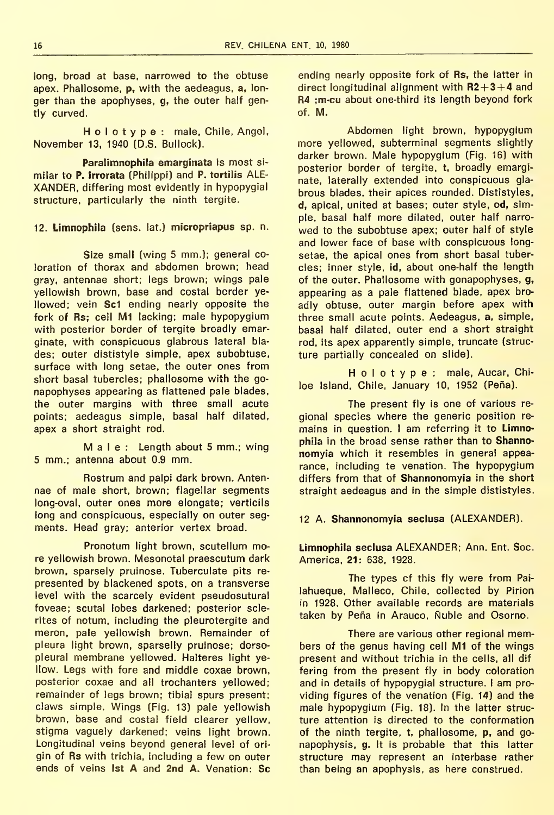long, broad at base, narrowed to the obtuse apex. Phallosome, p, with the aedeagus, a, lon ger than the apophyses, g, the outer half gently curved.

Holotype: male, Chile, Angol, Novembar 13, 1940 (D.S. Bullock).

Paralimnophila emarginata is most si milar to P. irrorata (Philippi) and P. tortilis ALE-XANDER, differing most evidently in hypopygial structura, particularly the ninth tergite.

12. Limnophila (sens. lat.) micropriapus sp. n.

Slze small (wing 5 mm.); general co loration of thorax and abdomen brown; head gray, antennae short; legs brown; wings palé yailowish brown, base and costal border ye llowed; vein Sel ending nearly opposite the fork of Rs; cell M1 lacking; male hypopygium with posterior border of tergite broadly emarginate, with conspicuous glabrous lateral bla des; outer dististyle simple, apex subobtuse, surface with long setae, the outer ones from short basal tubercles; phallosome with the go napophyses appearing as flattened palé blades, the outer margins with three small acute points; aedeagus simple, basal half dilated, apex a short straight rod.

Male: Length about <sup>5</sup> mm.; wing 5 mm.; antenna about 0.9 mm.

Rostrum and paipi dark brown. Anten nae of male short, brown; flagellar segments long-oval, outer ones more elongate; verticiis long and conspicuous, especially on outer seg ments. Head gray; anterior vertex broad.

Pronotum light brown, scutellum more yellowish brown. Mesonotal praescutum dark brown, sparsely pruinose. Tuberculate pits re presented by blackened spots, on a transverse level with the scarcely evident pseudosutural foveae; scutal iobes darkened; posterior sclerites of notum, including the pleurotergite and meron, palé yellowish brown. Remainder of pleura light brown, sparselly pruinose; dorsopleural membrane yellowed. Halteres light yellow. Legs with fore and middie coxae brown, posterior coxae and all trochanters yellowed; remainder of legs brown; tibial spurs present; claws simple. Wings (Fig. 13) pale yellowish brown, base and costal field clearer yellow, stigma vaguely darkened; veins light brown. Longitudinal veins beyond general level of ori gin of Rs with trichia, including a few on outer ends of veins Ist A and 2nd A. Venation: Sc

ending nearly opposite fork of Rs, the latter in direct longitudinal alignment with  $R2+3+4$  and R4 ;m-cu about one-third its length beyond fork of. M.

Abdomen light brown, hypopygium more yellowed, subterminal segments slightly darker brown. Male hypopygium (Fig. 16) with posterior border of tergite, t, broadly emarginate, laterally extended into conspicuous gla brous blades, their apices rounded. Dististyles, d, apical, united at bases; outer style, od, simple, basal half more dilated, outer half narro wed to the subobtuse apex; outer half of style and lower face of base with conspicuous long setae, the apical ones from short basal tubercles; inner style, id, about one-half the length of the outer. Phallosome with gonapophyses, g, appearing as a pale flattened blade, apex broadly obtuse, outer margin before apex with three small acute points. Aedeagus, a, simple, basal half dilated, outer end a short straight rod, its apex apparently simple, truncate (structure partially concealed on slide).

H o <sup>1</sup> o <sup>t</sup> y <sup>p</sup> e : male, Aucar, Chiloe Island, Chile, January 10, 1952 (Peña).

The present fiy is one of various re gional species where the generic position re mains in question. <sup>I</sup> am referring it to Limnophila in the broad sense rather than to Shanno nomyia which it resembles in general appearance, including te venation. The hypopygium differs from that of Shannonomyia in the short straight aedeagus and in the simple dististyles.

## 12 A. Shannonomyia seclusa (ALEXANDER).

Limnophila seclusa ALEXANDER; Ann. Ent. Soc. America, 21: 638, 1928.

The types cf this fly were from Pai lahueque, Malleco, Chile, collected by Pirion in 1928. Other available records are materials taken by Peña in Arauco, Nuble and Osorno.

There are various other regional members of the genus having cell MI of the wings present and without trichia in the cells, all dif fering from the present fly in body coloration and in details of hypopygial structure. <sup>I</sup> am pro viding figures of the venation (Fig. 14) and the male hypopygium (Fig. 18). In the latter struc ture attention is directed to the conformation of the ninth tergite, t, phallosome, p, and go napophysis, g. It is probable that this latter structure may represent an interbase rather than being an apophysis, as here construed.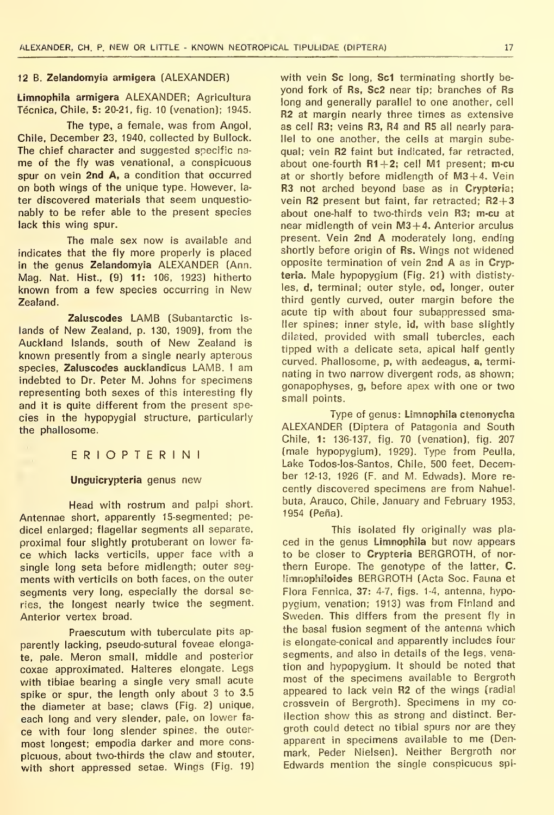#### 12 B. Zelandomyia armigera (ALEXANDER)

Limnophila armígera ALEXANDER; Agricultura Técnica, Chile, 5: 20-21, fig. 10 (venation); 1945.

The type, a female, was from Angol, Chile, December 23, 1940, collected by Bullock. The chief character and suggested specific name of the fiy was venational, <sup>a</sup> conspicuous spur on vein 2nd A, a condition that occurred on both wings of the unique type. However, la ter discovered materials that seem unquestionably to be refer able to the present species lack this wing spur.

The male sex now is available and indicates that the fIy more properly is placed in the genus Zelandomyia ALEXANDER (Ann. Mag. Nat. Hist., (9) 11: 106, 1923) hitherto known from <sup>a</sup> few species occurring in New Zealand.

Zaluscodes LAMB (Subantarctic islands of New Zealand, p. 130, 1909), from the Auckiand Islands, south of New Zealand is known presently from a single nearly apterous species, Zaluscodes auckiandicus LAMB. <sup>I</sup> am indebted to Dr. Peter M. Johns for specimens representing both sexes of this interesting fIy and it is quite different from the present species in the hypopygial structure, particularly the phallosome.

## ERIOPTERINI

### Unguicrypteria genus new

Head with rostrum and palpi short. Antennae short, apparently 15-segmented; pedicel enlarged; flagellar segments all separate, proximal four slightly protuberant on lower fa ce which lacks verticils, upper face with a single long seta before midlength; outer seg ments with verticiis on both faces, on the outer segments very long, especially the dorsal series, the longest nearly twice the segment. Anterior vertex broad.

Praescutum with tuberculate pits ap parently lacking, pseudo-sutural foveae elongate, pale. Meron small, middle and posterior coxae approximated. Halteres elongate. Legs with tibiae bearing <sup>a</sup> single very small acute spike or spur, the length only about 3 to 3.5 the diameter at base; claws (Fig. 2) unique, each long and very slender, pale, on lower face with four long slender spines, the outer most longest; empodia darker and more conspicuous, about two-thirds the claw and stouter, with short appressed setae. Wings (Fig. 19)

with vein Sc long, Sc1 terminating shortly beyond fork of Rs, Sc2 near tip; branches of Rs long and generally parallel to one another, cell R2 at margin nearly three times as extensive as cell R3; veins R3, R4 and R5 all nearly parallel to one another, the cells at margin subequal; vein R2 faint but indicated, far retracted, about one-fourth  $R1+2$ ; cell M1 present; m-cu at or shortly before midlength of  $M3+4$ . Vein R3 not arched beyond base as in Crypteria; vein R2 present but faint, far retracted; R2 +<sup>3</sup> about one-half to two-thirds vein R3; m-cu at near midlength of vein  $M3 + 4$ . Anterior arculus present. Vein 2nd A moderately long, ending shortly before origin of Rs. Wings not widened opposite termination of vein 2nd A as in Crypteria. Male hypopygium (Fig. 21) with dististyles, d, terminal; outer style, od, longer, outer third gently curved, outer margin before the acute tip with about four subappressed smaller spines; inner style, id, with base slightly dilated, provided with small tubercles, each tipped with a delicate seta, apical half gently curved. Phallosome, p, with aedeagus, a, terminating in two narrow divergent rods, as shown; gonapophyses, g, before apex with one or two small points.

Type of genus: Limnophila ctenonycha ALEXANDER (Díptera of Patagonia and South Chile, 1: 136-137, fig. 70 (venation), fig. 207 (male hypopygium), 1929). Type from Peulla, Lake Todos-los-Santos, Chile, 500 feet, December 12-13, 1926 (F. and M. Edwads). More re cently discovered specimens are from Nahuelbuta, Arauco, Chile, January and February 1953, 1954 (Peña).

This isolated fIy originally was pla ced in the genus Limnophila but now appears to be closer to Crypteria BERGROTH, of nor thern Europe. The genotype of the latter, C. Simnophiloides BERGROTH (Acta Soc. Fauna et Flora Fennica, 37: 4-7, figs. 1-4, antenna, hypo pygium, venation; 1913) was from Finland and Sweden. This differs from the present fIy in the basal fusion segment of the antenna which is elongate-conical and apparently includes four segments, and also in details of the legs, venation and hypopygium. It should be noted that most of the specimens available to Bergroth appeared to lack vein R2 of the wings (radial crossvein of Bergroth). Specimens in my collection show this as strong and distinct. Ber aroth could detect no tibial spurs nor are they apparent in specimens available to me (Den mark. Peder Nielsen). Neither Bergroth ñor Edwards mention the single conspicuous spi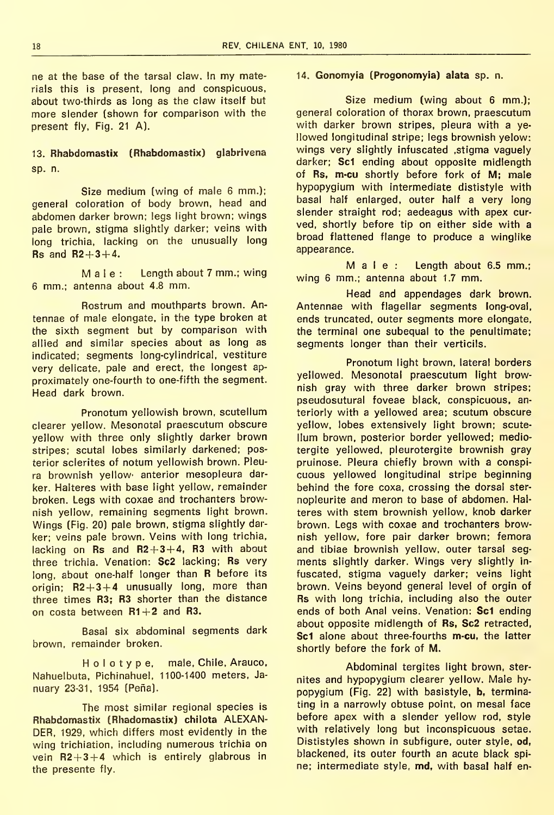ne at the base of the tarsal claw. In my materials this is present, long and conspicuous, about two-thirds as long as the claw itself but more slender (shown for comparison with the present fiy, Fig. 21 A).

# 13. Rhabdomastix (Rhabdomastix) glabrivena sp. n.

Size medium (wing of male 6 mm.); general coloration of body brown, head and abdomen darker brown; legs light brown; wings pale brown, stigma slightly darker; veins with long trichia, lacking on the unusualiy long  $Rs$  and  $R2 + 3 + 4$ .

Male: Length about <sup>7</sup> mm.; wing <sup>6</sup> mm.; antenna about 4.8 mm.

Rostrum and mouthparts brown. An tennae of male elongate, in the type broken at the sixth segment but by comparison with aliied and similar species about as long as indicated; segments long-cylindrical, vestiture very delicate, palé and erect, the longest ap proximately one-fourth to one-fifth the segment. Head dark brown.

Pronotum yellowish brown, scutellum clearer yellow. Mesonotal praescutum obscure yellow with three only slightiy darker brown stripes; scutal lobes similarly darkened; posterior sclerites of notum yellowish brown. Pleura brownish yellow' anterior mesopleura darker. Halteres with base light yellow, remainder broken. Legs with coxae and trochanters brownish yellow, remaining segments light brown. Wings (Fig. 20) pale brown, stigma slightly darker; veins palé brown. Veins with long trichia, lacking on Rs and  $R2+3+4$ , R3 with about three trichia. Venation: Sc2 lacking; Rs very long, about one-half longer than R before its origin:  $R2+3+4$  unusually long, more than three times R3; R3 shorter than the distance on costa between R1+2 and R3.

Basal six abdominal segments dark brown, remainder broken.

H o <sup>I</sup> <sup>o</sup> <sup>t</sup> y <sup>p</sup> e, male, Chile, Arauco, Nahuelbuta, Pichinahuel, 1100-1400 meters, Ja nuary 23-31, 1954 (Peña).

The most similar regional species is Rhabdomastix (Rhadomastix) chilota ALEXAN-DER, 1929, which differs most evidently in the wing trichiation, including numerous trichia on vein  $R2+3+4$  which is entirely glabrous in the presente fIy.

# 14. Gonomyia (Progonomyia) alata sp. n.

Size medium (wing about 6 mm.); general coloration of thorax brown, praescutum with darker brown stripes, pleura with a yellowed longitudinal stripe; legs brownish yelow: wings very slightly infuscated , stigma vaguely darker; Sc1 ending about opposite midlength of Rs, m-cu shortly before fork of M; male hypopygium with intermedíate dististyle with basal half enlarged, outer half a very long slender straight rod; aedeagus with apex curved, shortly before tip on either side with a broad flattened flange to produce a winglike appearance.

Male: Length about 6.5 mm.; wing 6 mm.; antenna about 1.7 mm.

Head and appendages dark brown. Antennae with flagellar segments long-oval, ends truncated, outer segments more elongate, the terminal one subequal to the penultimate; segments longer than their verticils.

Pronotum light brown, lateral borders yellowed. Mesonotal praescutum light brownish gray with three darker brown stripes; pseudosutural foveae black, conspicuous, anteriorly with a yellowed area; scutum obscure yellow, lobes extensively light brown; scute llum brown, posterior border yellowed; mediotergite yellowed, pleurotergite brownish gray pruinose. Pleura chiefly brown with a conspicuous yellowed longitudinal stripe beginning behind the fore coxa, crossing the dorsal ster nopleurite and meron to base of abdomen. Hal teres with stem brownish yellow, knob darker brown. Legs with coxae and trochanters brownish yellow, fore pair darker brown; femora and tibiae brownish yellow, outer tarsal seg ments slightiy darker. Wings very slightiy in fuscated, stigma vaguely darker; veins light brown. Veins beyond general level of orgin of Rs with long trichia, including also the outer ends of both Anal veins. Venation: Sc1 ending about opposite midlength of Rs, Se2 retracted, Sc1 alone about three-fourths m-cu, the latter shortly before the fork of M.

Abdominal tergites light brown, ster nites and hypopygium clearer yellow. Male hy popygium (Fig. 22) with basistyle, **b**, terminating in a narrowly obtuse point, on mesal face before apex with a slender yellow rod, style with relatively long but inconspicuous setae. Dististyles shown in subfigure, outer style, od, blackened, its outer fourth an acute black spine; intermedíate style, md, with basal half en-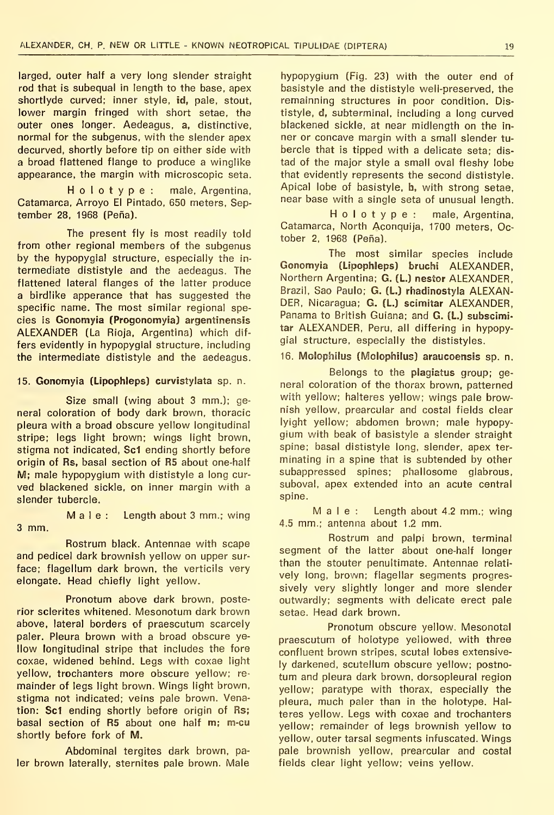larged, outer half a very long slender straight rod that is subequal in length to the base, apex shortlyde curved; inner style, id, pale, stout, lower margin fringed with short setae, the outer ones longer. Aedeagus, a, distinctive, normal for the subgenus, with the slender apex decurved, shortly before tip on either síde with a broad flattened flange to produce a winglike appearance, the margin with microscopio seta.

H o <sup>I</sup> o <sup>t</sup> <sup>y</sup> p e : male, Argentina, Catamarca, Arroyo El Pintado, 650 meters, Sep tember 28, 1968 (Peña).

The present fiy is most readily told from other regional members of the subgenus by the hypopygial structure, especially the in termedíate dististyle and the aedeagus. The flattened lateral flanges of the latter produce a birdiike apperance that has suggested the specific name. The most similar regional species is Gonomyia (Progonomyia) argentinensis ALEXANDER (La Rioja, Argentina) which dif fers evidently in hypopygial structure, including the intermedíate dististyle and the aedeagus.

### 15. Gonomyia (Lipophieps) curvistylata sp. n.

Size small (wing about 3 mm.); general coloration of body dark brown, thoracic pleura with a broad obscure yellow longitudinal stripe; legs light brown; wings light brown, stigma not indicated. Sc1 ending shortly before origin of Rs, basal section of R5 about one-half M; male hypopygium with dististyle a long cur ved blackened sickie, on inner margin with a slender tubercle.

Male: Length about <sup>3</sup> mm.; wing <sup>3</sup> mm.

Rostrum black. Antennae with scape and pedicel dark brownish yellow on upper sur face; flagellum dark brown, the verticils very elongate. Head chiefly light yellow.

Pronotum above dark brown, posterior sclerites whitened. Mesonotum dark brown above, lateral borders of praescutum scarcely paler. Pleura brown with a broad obscure ye llow longitudinal stripe that includes the fore coxae, widened behind. Legs with coxae light yellow, trochanters more obscure yellow; re mainder of legs light brown. Wings light brown, stigma not indicated; veins pale brown. Venation: Sc1 ending shortly before origin of Rs; basal section of R5 about one half m; m-cu shortly before fork of M.

Abdominal tergites dark brown, paler brown laterally, sternites pale brown. Male

hypopygium (Fig. 23) with the outer end of basistyle and the dististyle well-preserved, the remainning structures in poor condition. Dististyle, d, subterminal, including a long curved blackened sickie, at near midlength on the in ner or concave margin with a small slender tu bercle that is tipped with a delicate seta; dis tad of the major style a small oval fleshy lobe that evidently represents the second dististyle. Apical lobe of basistyle, b, with strong setae, near base with a single seta of unusual length.

H o <sup>I</sup> o <sup>t</sup> y <sup>p</sup> e : male, Argentina, Catamarca, North Aconquija, 1700 meters, October 2, 1968 (Peña).

The most similar species include Gonomyia (Lipophieps) bruchi ALEXANDER, Northern Argentina; G. (L.) nesíor ALEXANDER, Brazil, Sao Paulo; G. (L.) rhadinostyla ALEXAN-DER, Nicaragua; G. (L.) scimitar ALEXANDER, Panama to British Guiana; and G. (L.) subscimitar ALEXANDER, Peru, all differing in hypopygial structure, especially the dististyles.

# 16. Molophilus (Molophilus) araucoensis sp. n.

Belongs to the piagiatus group; general coloration of the thorax brown, patterned with yellow; halteres yellow; wings pale brownish yellow, prearcular and costal fields clear lyight yellow; abdomen brown; male hypopy gium with beak of basistyle a slender straight spine; basal dististyle long, slender, apex ter minating in a spine that is subtended by other subappressed spines; phallosome glabrous, suboval, apex extended into an acute central spine.

M a le: Length about 4.2 mm.; wing 4.5 mm.; antenna about 1.2 mm.

Rostrum and paipi brown, terminal segment of the latter about one-half longer than the stouter penultimate. Antennae relati vely long, brown; flagellar segments progressively very slightly longer and more slender outwardly; segments with delicate erect palé setae. Head dark brown.

Pronotum obscure yellow. Mesonotal praescutum of holotype yellowed, with three confluent brown stripes, scutal lobes extensively darkened, scutellum obscure yellow; postnotum and pleura dark brown, dorsopleural region yellow; paratype with thorax, especially the pleura, much paler than in the holotype. Hal teres yellow. Legs with coxae and trochanters yellow; remainder of legs brownish yellow to yellow, outer tarsal segments infuscated. Wings palé brownish yellow, prearcular and costal fields clear light yellow; veins yellow.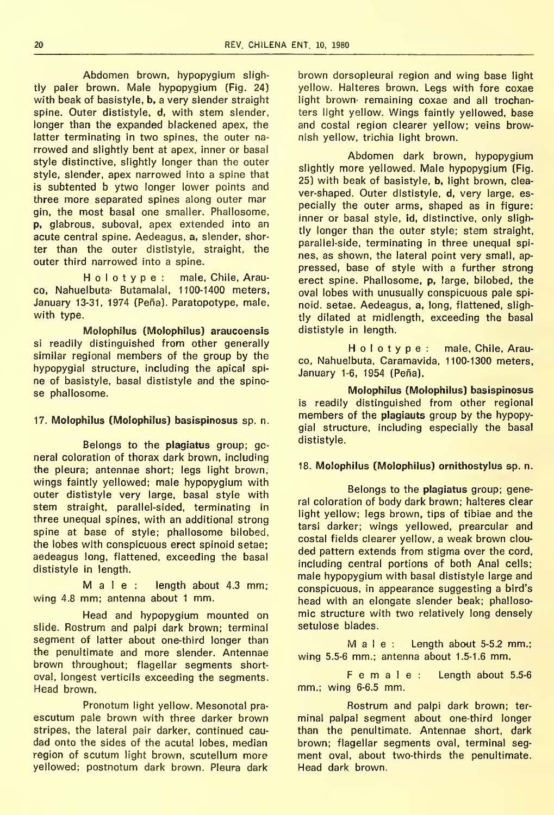Abdomen brown, hypopygium slightly paler brown. Male hypopygium (Fig. 24) with beak of basistyle, b, a very slender straight spine. Outer dististyle, d, with stem slender, longer than the expanded blackened apex, the latter terminating in two spines, the outer na rrowed and slightly bent at apex, inner or basal style distinctive, slightly longer than the outer style, slender, apex narrowed into a spine that is subtented b ytwo longer lower points and three more separated spines aiong outer mar gin, the most basal one smaller. Phallosome, p, glabrous, suboval, apex extended into an acute central spine. Aedeagus, a, slender, shorter than the outer dististyle, straight, the outer third narrowed into a spine.

H o <sup>I</sup> o <sup>t</sup> y p e : male, Chile, Arauco, Nahuelbuta' Butamalal, 1100-1400 meters, January 13-31, 1974 (Peña). Paratopotype, male, with type.

Molophilus (Molophilus) araucoensis si readily distinguished from other generally similar regional members of the group by the hypopygial structure, including the apical spi ne of basistyle, basal dististyle and the spino se phallosome.

# 17. Molophilus (Molophilus) basispinosus sp. n.

Belongs to the plagiatus group; ge neral coloration of thorax dark brown, including the pleura; antennae short; legs light brown, wings faintly yellowed; male hypopygium with outer dististyle very large, basal style with stem straight, parallel-sided, terminating in three unequal spines, with an additional strong spine at base of style; phallosome bilobed, the lobes with conspicuous erect spinoid setae; aedeagus long, flattened, exceeding the basal dististyle in length.

M a l e : length about 4.3 mm; wing 4.8 mm; antenna about <sup>1</sup> mm.

Head and hypopygium mounted on slide. Rostrum and paipi dark brown; terminal segment of latter about one-third longer than the penultimate and more slender. Antennae brown throughout; flagellar segments shortoval, longest verticiis exceeding the segments. Head brown.

Pronotum light yellow. Mesonotal praescutum pale brown with three darker brown stripes, the lateral pair darker, continued cau dad onto the sides of the acutal lobes, median región of scutum light brown, scutellum more yellowed; postnotum dark brown. Pleura dark

brown dorsopleural region and wing base light yellow. Halteres brown. Legs with fore coxae light brown remaining coxae and all trochanters light yellow. Wings faintly yellowed, base and costal region clearer yellow; veins brownish yellow, trichia light brown.

Abdomen dark brown, hypopygium slightly more yellowed. Male hypopygium (Fig. 25) with beak of basistyle, b, light brown, clea ver-shaped. Outer dististyle, d, very large, es pecially the outer arms, shaped as in figure: inner or basal style, id, distinctive, only slightly longer than the outer style; stem straight, parallel-side, terminating in three unequal spi nes, as shown, the lateral point very small, ap pressed, base of style with a further strong erect spine. Phallosome, p, large, bilobed, the oval lobes with unusually conspicuous palé spi noid. setae. Aedeagus, a, long, flattened, slightly dilated at midlength, exceeding the basal dististyle in length.

H o <sup>I</sup> o <sup>t</sup><sup>y</sup> <sup>p</sup> <sup>e</sup> : male, Chile, Arauco, Nahuelbuta, Caramavida, 1100-1300 meters, January 1-6, 1954 (Peña).

Molophilus (Molophilus) basispinosus is readily distinguished from other regional members of the plagiauts group by the hypopygial structure, including especially the basal dististyle.

# 18. Molophilus (Molophilus) ornithostylus sp. n.

Belongs to the plagiatus group; general coloration of body dark brown; halteres clear light yellow; legs brown, tips of tibiae and the tarsi darker; wings yellowed, prearcular and costal fields clearer yellow, a weak brown clou ded pattern extends from stigma over the cord, including central portions of both Anal cells; male hypopygium with basal dististyle large and conspicuous, in appearance suggesting a bird's head with an elongate slender beak; phalloso mic structure with two relatively long densely setulose blades.

Male: Length about 5-5.2 mm.; wing 5.5-6 mm.; antenna about 1.5-1.6 mm.

<sup>F</sup> <sup>e</sup> m <sup>a</sup> <sup>I</sup> <sup>e</sup> : Length about 5.5-6 mm.; wing 6-6.5 mm.

Rostrum and paIpi dark brown; ter minal paipai segment about one-third longer than the penultimate. Antennae short, dark brown; flagellar segments oval, terminal seg ment oval, about two-thirds the penultimate. Head dark brown.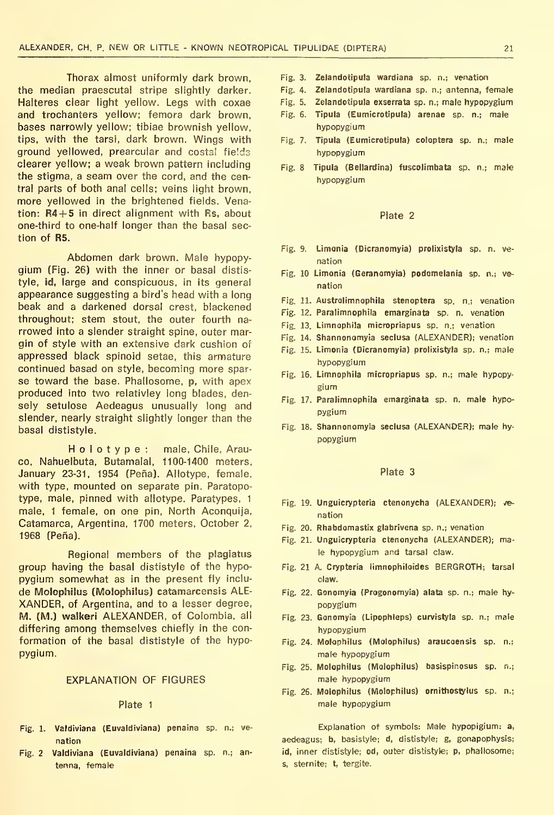Thorax almost uniformly dark brown, the median praescutal stripe slightly darker. Halteres clear light yellow. Legs with coxae and trochanters yellow; femora dark brown, bases narrowly yellow; tibiae brownish yellow, tips, with the tarsi, dark brown. Wings with ground yellowed, prearcular and costal fields clearer yellow; a weak brown pattern including the stigma, <sup>a</sup> seam over the cord, and the central parts of both anal cells; veins light brown, more yeilowed in the brightened fields. Venation:  $R4 + 5$  in direct alignment with Rs, about one-third to one-half longer than the basal section of R5.

Abdomen dark brown. Male hypopy gium (Fig. 26) with the inner or basal dististyle, id, large and conspicuous, in its general appearance suggesting a bird's head with a long beak and a darkened dorsal crest, blackened throughout; stem stout, the outer fourth na rrowed into a slender straight spine, outer margin of style with an extensive dark cushion of appressed black spinoid setae, this armature continued basad on style, becoming more sparse toward the base. Phallosome, p, with apex produced into two relativley long blades, densely setulose Aedeagus unusually long and slender, nearly straight slightly longer than the basal dististyle.

Holotype: male, Chile, Arauco, Nahuelbuta, Butamalal, 1100-1400 meters, January 23-31, 1954 (Peña). Allotype, female, with type, mounted on separate pin. Paratopotype, male, pinned with allotype. Paratypes, 1 male, <sup>1</sup> female, on one pin, North Aconquija, Catamarca, Argentina, 1700 meters, October 2, 1968 ÍPeña).

Regional members of the plagiatus group having the basal dististyle of the hypo pygium somewhat as in the present fly inclu de Molophilus (Molophilus) catamarcensis ALE- XANDER, of Argentina, and to a lesser degree, M. (M.) walkeri ALEXANDER, of Colombia, all differing among themselves chiefly in the con formation of the basal dististyle of the hypo pygium.

# EXPLANATION OF FIGURES

#### Plate 1

- Fig. 1. Valdiviana (Euvaldiviana) penaina sp. n.; venatlon
- Fig. 2 Valdiviana (Euvaldiviana) penaina sp. n.; an tenna, female
- Fig. 3. Zeiandotipula wardiana sp. n.; venation
- Fig. 4. Zeiandotipula wardiana sp. n.; antenna, female
- Fig. 5. Zeiandotipula exserrata sp. n.; male hypopygium
- Fig. 6. Tipula (Eumicrotipula) arenae sp. n.; male hypopygium
- Fig. 7. Tipula (Eumicrotipula) coloptera sp. n.; male hypopygium
- Fig. 8 Tipula (Bellardina) fuscolimbata sp. n.; male hypopygium

#### Píate 2

- Fig. 9. Limonia (Dicranomyia) prolixistyla sp. n, ve nation
- Fig. 10 Limonia (Geranomyia) podomelania sp. n.; ve nation
- Fig. 11. Austrolimnophila stenoptera sp. n.; venation
- Fig. 12. Paralimnophila emarginata sp. n. venation
- Fig. 13, Limnophila micropriapus sp. n.; venation
- Fig. 14. Shannonomyia seclusa (ALEXANDER); venation
- Fig. 15. Limonia (Dicranomyia) prolixistyla sp. n.; male hypopygium
- Fig. 16. Limnophila micropriapus sp. n.; male hypopy gium
- Fig. 17. Paralimnophila emarginata sp. n. male hypo pygium
- Fig. 18, Shannonomyia seclusa (ALEXANDER); male hy popygium

#### Plate 3

- Fig. 19. Unguicrypteria ctenonycha (ALEXANDER); ve nation
- Fig. 20. Rhabdomastix glabrivena sp. n.; venation
- Fig. 21. Unguicrypteria ctenonycha (ALEXANDER); male hypopygium and tarsal claw.
- Fig. 21 A. Crypteria limnophiloides BERGROTH; tarsal claw.
- Fig. 22. Gonomyia (Progonomyia) alata sp. n.; male hy popygium
- Fig. 23. Gonomyia (Lipophieps) curvistyla sp. n.; male hypopygium
- Fig, 24. Molophilus (Molophilus) araucoensis sp. n.; male hypopygium
- Fig. 25. Molophilus (Molophilus) basispinosus sp. n.; male hypopygium
- Fig. 26. Molophilus (Molophilus) ornithostylus sp. n.; male hypopygium

Explanation of symbols: Male hypopigium: a, aedeagus; b, basistyle; d, dististyle; g, gonapophysis; id, inner dististyle; od, outer dististyle; p, phallosome; s, sternite; t, tergite.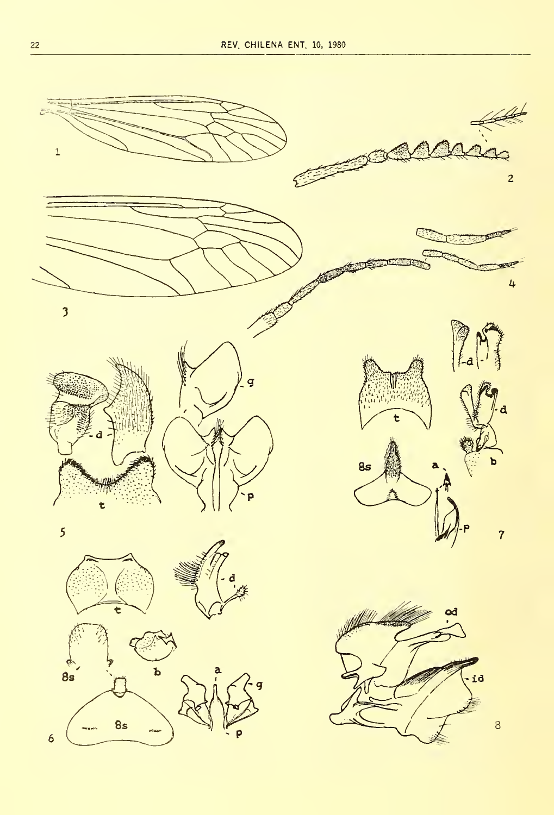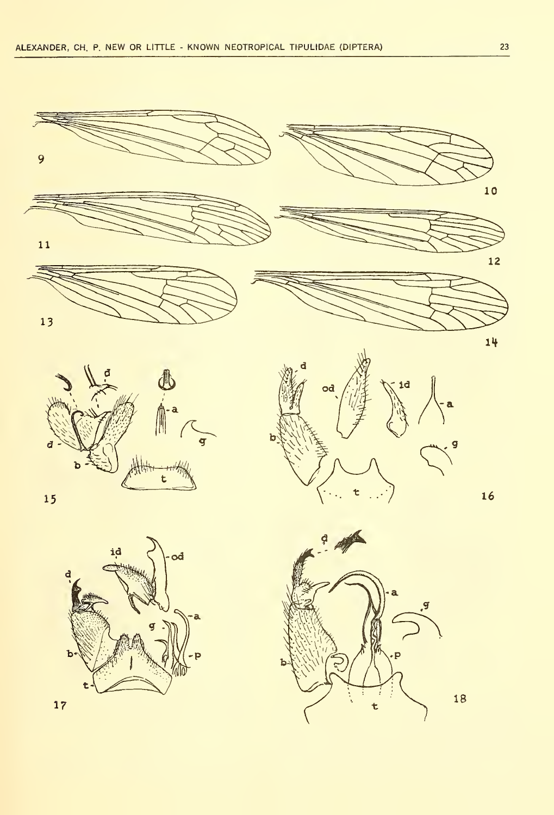











 $23\,$ 

16

 $17$